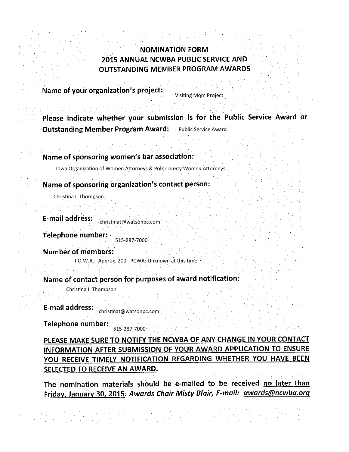# **NOMINATION FORM** 2015 ANNUAL NCWBA PUBLIC SERVICE AND **OUTSTANDING MEMBER PROGRAM AWARDS**

Name of your organization's project:

Visiting Mom Project

Please indicate whether your submission is for the Public Service Award or **Outstanding Member Program Award:** Public Service Award

Name of sponsoring women's bar association:

Iowa Organization of Women Attorneys & Polk County Women Attorneys

Name of sponsoring organization's contact person:

Christina I. Thompson

**E-mail address:** christinat@watsonpc.com

**Telephone number:** 515-287-7000

**Number of members:** 

I.O.W.A.: Approx. 200. PCWA: Unknown at this time.

Name of contact person for purposes of award notification:

Christina I. Thompson

**E-mail address:** christinat@watsonpc.com

Telephone number: 515-287-7000

PLEASE MAKE SURE TO NOTIFY THE NCWBA OF ANY CHANGE IN YOUR CONTACT INFORMATION AFTER SUBMISSION OF YOUR AWARD APPLICATION TO ENSURE YOU RECEIVE TIMELY NOTIFICATION REGARDING WHETHER YOU HAVE BEEN SELECTED TO RECEIVE AN AWARD.

The nomination materials should be e-mailed to be received no later than Friday, January 30, 2015: Awards Chair Misty Blair, E-mail: awards@ncwba.org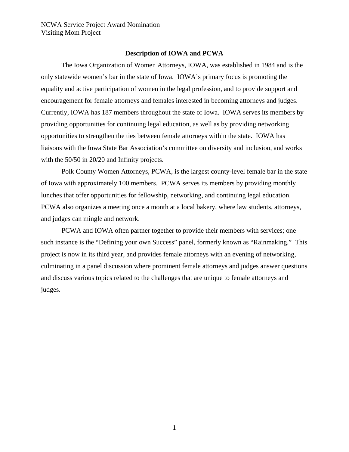#### **Description of IOWA and PCWA**

 The Iowa Organization of Women Attorneys, IOWA, was established in 1984 and is the only statewide women's bar in the state of Iowa. IOWA's primary focus is promoting the equality and active participation of women in the legal profession, and to provide support and encouragement for female attorneys and females interested in becoming attorneys and judges. Currently, IOWA has 187 members throughout the state of Iowa. IOWA serves its members by providing opportunities for continuing legal education, as well as by providing networking opportunities to strengthen the ties between female attorneys within the state. IOWA has liaisons with the Iowa State Bar Association's committee on diversity and inclusion, and works with the 50/50 in 20/20 and Infinity projects.

 Polk County Women Attorneys, PCWA, is the largest county-level female bar in the state of Iowa with approximately 100 members. PCWA serves its members by providing monthly lunches that offer opportunities for fellowship, networking, and continuing legal education. PCWA also organizes a meeting once a month at a local bakery, where law students, attorneys, and judges can mingle and network.

PCWA and IOWA often partner together to provide their members with services; one such instance is the "Defining your own Success" panel, formerly known as "Rainmaking." This project is now in its third year, and provides female attorneys with an evening of networking, culminating in a panel discussion where prominent female attorneys and judges answer questions and discuss various topics related to the challenges that are unique to female attorneys and judges.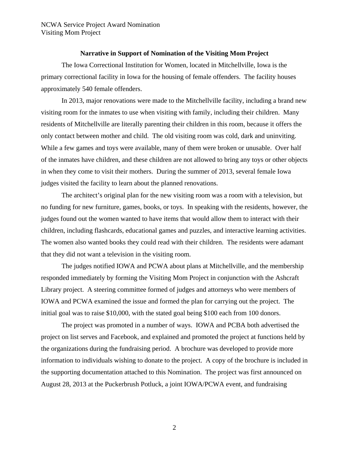#### **Narrative in Support of Nomination of the Visiting Mom Project**

 The Iowa Correctional Institution for Women, located in Mitchellville, Iowa is the primary correctional facility in Iowa for the housing of female offenders. The facility houses approximately 540 female offenders.

In 2013, major renovations were made to the Mitchellville facility, including a brand new visiting room for the inmates to use when visiting with family, including their children. Many residents of Mitchellville are literally parenting their children in this room, because it offers the only contact between mother and child. The old visiting room was cold, dark and uninviting. While a few games and toys were available, many of them were broken or unusable. Over half of the inmates have children, and these children are not allowed to bring any toys or other objects in when they come to visit their mothers. During the summer of 2013, several female Iowa judges visited the facility to learn about the planned renovations.

The architect's original plan for the new visiting room was a room with a television, but no funding for new furniture, games, books, or toys. In speaking with the residents, however, the judges found out the women wanted to have items that would allow them to interact with their children, including flashcards, educational games and puzzles, and interactive learning activities. The women also wanted books they could read with their children. The residents were adamant that they did not want a television in the visiting room.

The judges notified IOWA and PCWA about plans at Mitchellville, and the membership responded immediately by forming the Visiting Mom Project in conjunction with the Ashcraft Library project. A steering committee formed of judges and attorneys who were members of IOWA and PCWA examined the issue and formed the plan for carrying out the project. The initial goal was to raise \$10,000, with the stated goal being \$100 each from 100 donors.

The project was promoted in a number of ways. IOWA and PCBA both advertised the project on list serves and Facebook, and explained and promoted the project at functions held by the organizations during the fundraising period. A brochure was developed to provide more information to individuals wishing to donate to the project. A copy of the brochure is included in the supporting documentation attached to this Nomination. The project was first announced on August 28, 2013 at the Puckerbrush Potluck, a joint IOWA/PCWA event, and fundraising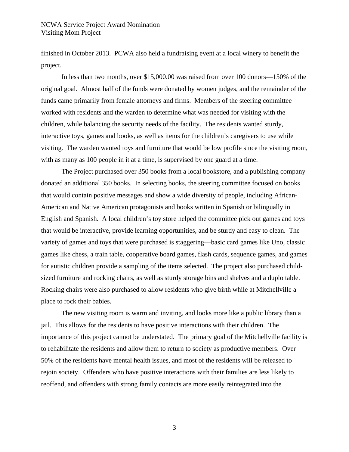finished in October 2013. PCWA also held a fundraising event at a local winery to benefit the project.

In less than two months, over \$15,000.00 was raised from over 100 donors—150% of the original goal. Almost half of the funds were donated by women judges, and the remainder of the funds came primarily from female attorneys and firms. Members of the steering committee worked with residents and the warden to determine what was needed for visiting with the children, while balancing the security needs of the facility. The residents wanted sturdy, interactive toys, games and books, as well as items for the children's caregivers to use while visiting. The warden wanted toys and furniture that would be low profile since the visiting room, with as many as 100 people in it at a time, is supervised by one guard at a time.

The Project purchased over 350 books from a local bookstore, and a publishing company donated an additional 350 books. In selecting books, the steering committee focused on books that would contain positive messages and show a wide diversity of people, including African-American and Native American protagonists and books written in Spanish or bilingually in English and Spanish. A local children's toy store helped the committee pick out games and toys that would be interactive, provide learning opportunities, and be sturdy and easy to clean. The variety of games and toys that were purchased is staggering—basic card games like Uno, classic games like chess, a train table, cooperative board games, flash cards, sequence games, and games for autistic children provide a sampling of the items selected. The project also purchased childsized furniture and rocking chairs, as well as sturdy storage bins and shelves and a duplo table. Rocking chairs were also purchased to allow residents who give birth while at Mitchellville a place to rock their babies.

The new visiting room is warm and inviting, and looks more like a public library than a jail. This allows for the residents to have positive interactions with their children. The importance of this project cannot be understated. The primary goal of the Mitchellville facility is to rehabilitate the residents and allow them to return to society as productive members. Over 50% of the residents have mental health issues, and most of the residents will be released to rejoin society. Offenders who have positive interactions with their families are less likely to reoffend, and offenders with strong family contacts are more easily reintegrated into the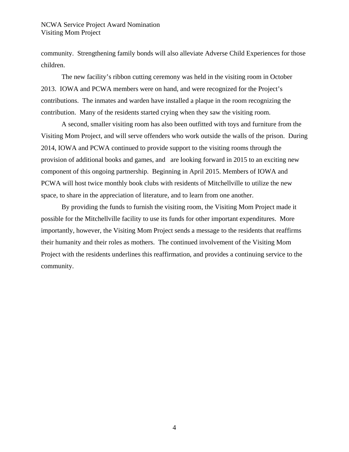community. Strengthening family bonds will also alleviate Adverse Child Experiences for those children.

The new facility's ribbon cutting ceremony was held in the visiting room in October 2013. IOWA and PCWA members were on hand, and were recognized for the Project's contributions. The inmates and warden have installed a plaque in the room recognizing the contribution. Many of the residents started crying when they saw the visiting room.

A second, smaller visiting room has also been outfitted with toys and furniture from the Visiting Mom Project, and will serve offenders who work outside the walls of the prison. During 2014, IOWA and PCWA continued to provide support to the visiting rooms through the provision of additional books and games, and are looking forward in 2015 to an exciting new component of this ongoing partnership. Beginning in April 2015. Members of IOWA and PCWA will host twice monthly book clubs with residents of Mitchellville to utilize the new space, to share in the appreciation of literature, and to learn from one another.

By providing the funds to furnish the visiting room, the Visiting Mom Project made it possible for the Mitchellville facility to use its funds for other important expenditures. More importantly, however, the Visiting Mom Project sends a message to the residents that reaffirms their humanity and their roles as mothers. The continued involvement of the Visiting Mom Project with the residents underlines this reaffirmation, and provides a continuing service to the community.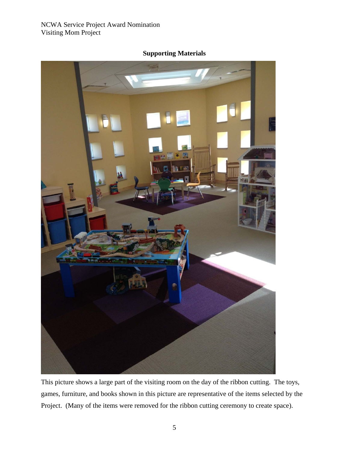

# **Supporting Materials**

This picture shows a large part of the visiting room on the day of the ribbon cutting. The toys, games, furniture, and books shown in this picture are representative of the items selected by the Project. (Many of the items were removed for the ribbon cutting ceremony to create space).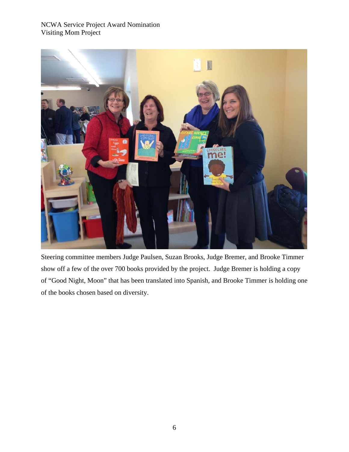

Steering committee members Judge Paulsen, Suzan Brooks, Judge Bremer, and Brooke Timmer show off a few of the over 700 books provided by the project. Judge Bremer is holding a copy of "Good Night, Moon" that has been translated into Spanish, and Brooke Timmer is holding one of the books chosen based on diversity.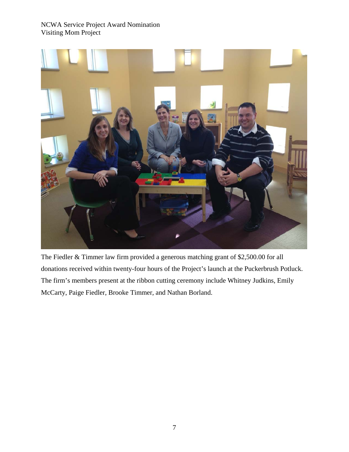

The Fiedler & Timmer law firm provided a generous matching grant of \$2,500.00 for all donations received within twenty-four hours of the Project's launch at the Puckerbrush Potluck. The firm's members present at the ribbon cutting ceremony include Whitney Judkins, Emily McCarty, Paige Fiedler, Brooke Timmer, and Nathan Borland.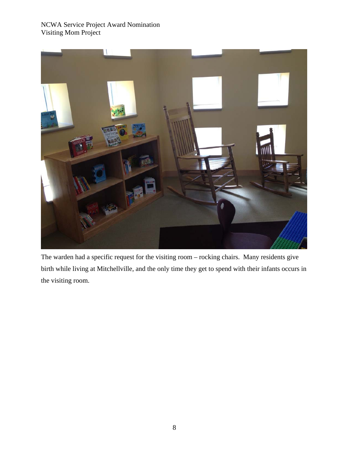

The warden had a specific request for the visiting room – rocking chairs. Many residents give birth while living at Mitchellville, and the only time they get to spend with their infants occurs in the visiting room.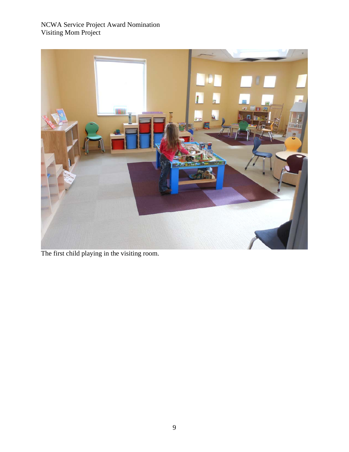

The first child playing in the visiting room.